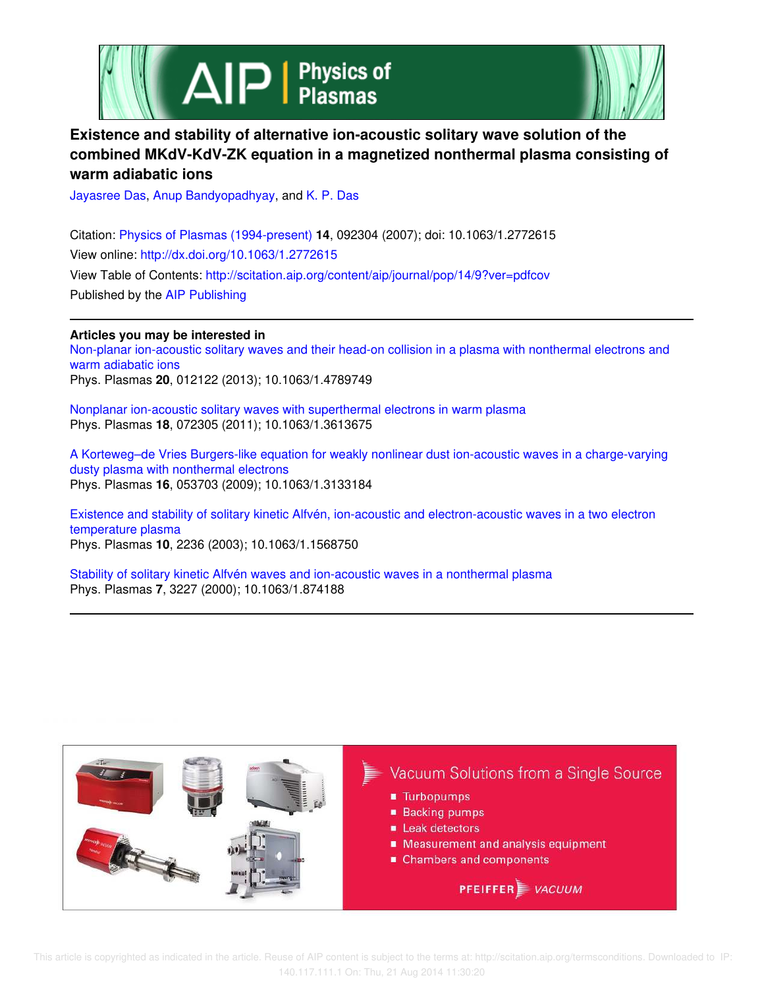



# **Existence and stability of alternative ion-acoustic solitary wave solution of the combined MKdV-KdV-ZK equation in a magnetized nonthermal plasma consisting of warm adiabatic ions**

Jayasree Das, Anup Bandyopadhyay, and K. P. Das

Citation: Physics of Plasmas (1994-present) **14**, 092304 (2007); doi: 10.1063/1.2772615 View online: http://dx.doi.org/10.1063/1.2772615 View Table of Contents: http://scitation.aip.org/content/aip/journal/pop/14/9?ver=pdfcov Published by the AIP Publishing

# **Articles you may be interested in**

Non-planar ion-acoustic solitary waves and their head-on collision in a plasma with nonthermal electrons and warm adiabatic ions Phys. Plasmas **20**, 012122 (2013); 10.1063/1.4789749

Nonplanar ion-acoustic solitary waves with superthermal electrons in warm plasma Phys. Plasmas **18**, 072305 (2011); 10.1063/1.3613675

A Korteweg–de Vries Burgers-like equation for weakly nonlinear dust ion-acoustic waves in a charge-varying dusty plasma with nonthermal electrons Phys. Plasmas **16**, 053703 (2009); 10.1063/1.3133184

Existence and stability of solitary kinetic Alfvén, ion-acoustic and electron-acoustic waves in a two electron temperature plasma Phys. Plasmas **10**, 2236 (2003); 10.1063/1.1568750

Stability of solitary kinetic Alfvén waves and ion-acoustic waves in a nonthermal plasma Phys. Plasmas **7**, 3227 (2000); 10.1063/1.874188

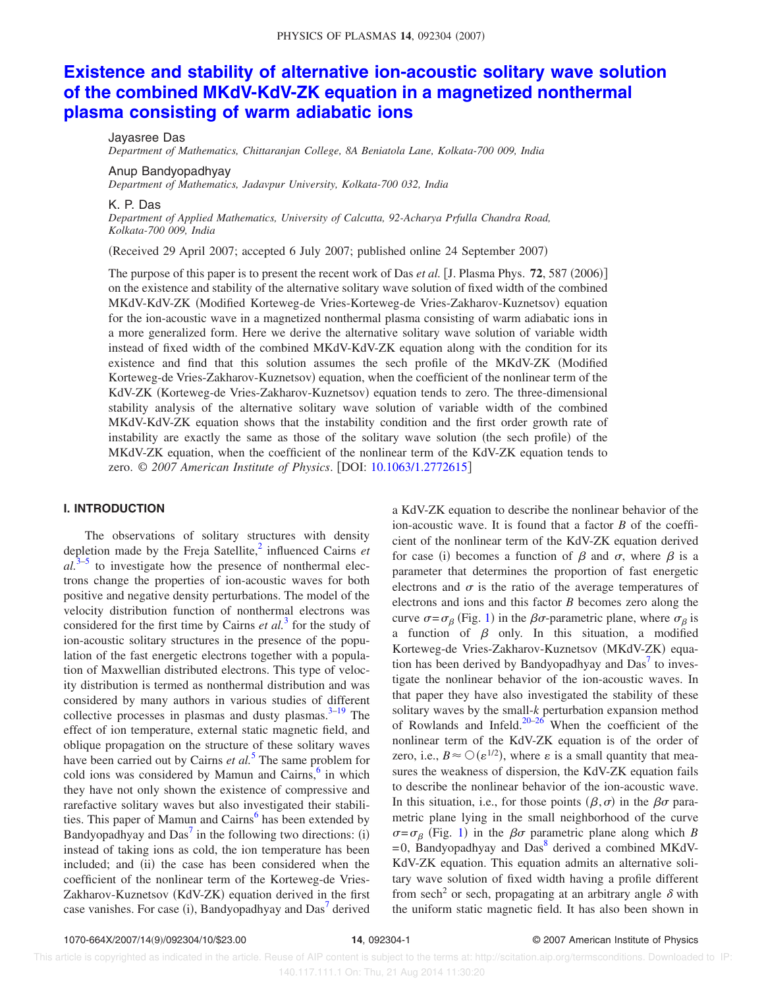# **Existence and stability of alternative ion-acoustic solitary wave solution of the combined MKdV-KdV-ZK equation in a magnetized nonthermal plasma consisting of warm adiabatic ions**

Jayasree Das

*Department of Mathematics, Chittaranjan College, 8A Beniatola Lane, Kolkata-700 009, India*

Anup Bandyopadhyay

*Department of Mathematics, Jadavpur University, Kolkata-700 032, India*

K. P. Das

*Department of Applied Mathematics, University of Calcutta, 92-Acharya Prfulla Chandra Road, Kolkata-700 009, India*

Received 29 April 2007; accepted 6 July 2007; published online 24 September 2007-

The purpose of this paper is to present the recent work of Das *et al.* [J. Plasma Phys. 72, 587 (2006)] on the existence and stability of the alternative solitary wave solution of fixed width of the combined MKdV-KdV-ZK (Modified Korteweg-de Vries-Korteweg-de Vries-Zakharov-Kuznetsov) equation for the ion-acoustic wave in a magnetized nonthermal plasma consisting of warm adiabatic ions in a more generalized form. Here we derive the alternative solitary wave solution of variable width instead of fixed width of the combined MKdV-KdV-ZK equation along with the condition for its existence and find that this solution assumes the sech profile of the MKdV-ZK Modified Korteweg-de Vries-Zakharov-Kuznetsov) equation, when the coefficient of the nonlinear term of the KdV-ZK (Korteweg-de Vries-Zakharov-Kuznetsov) equation tends to zero. The three-dimensional stability analysis of the alternative solitary wave solution of variable width of the combined MKdV-KdV-ZK equation shows that the instability condition and the first order growth rate of instability are exactly the same as those of the solitary wave solution (the sech profile) of the MKdV-ZK equation, when the coefficient of the nonlinear term of the KdV-ZK equation tends to zero. © *2007 American Institute of Physics*. DOI: 10.1063/1.2772615

# **I. INTRODUCTION**

The observations of solitary structures with density depletion made by the Freja Satellite,<sup>2</sup> influenced Cairns *et*  $al.\overline{3-5}$  to investigate how the presence of nonthermal electrons change the properties of ion-acoustic waves for both positive and negative density perturbations. The model of the velocity distribution function of nonthermal electrons was considered for the first time by Cairns *et al.*<sup>3</sup> for the study of ion-acoustic solitary structures in the presence of the population of the fast energetic electrons together with a population of Maxwellian distributed electrons. This type of velocity distribution is termed as nonthermal distribution and was considered by many authors in various studies of different collective processes in plasmas and dusty plasmas.  $3-19$  The effect of ion temperature, external static magnetic field, and oblique propagation on the structure of these solitary waves have been carried out by Cairns *et al.*<sup>5</sup> The same problem for cold ions was considered by Mamun and Cairns, $6$  in which they have not only shown the existence of compressive and rarefactive solitary waves but also investigated their stabilities. This paper of Mamun and Cairns<sup>6</sup> has been extended by Bandyopadhyay and  $Das<sup>7</sup>$  in the following two directions: (i) instead of taking ions as cold, the ion temperature has been included; and (ii) the case has been considered when the coefficient of the nonlinear term of the Korteweg-de Vries-Zakharov-Kuznetsov (KdV-ZK) equation derived in the first case vanishes. For case (i), Bandyopadhyay and  $\text{Das}^7$  derived

a KdV-ZK equation to describe the nonlinear behavior of the ion-acoustic wave. It is found that a factor *B* of the coefficient of the nonlinear term of the KdV-ZK equation derived for case (i) becomes a function of  $\beta$  and  $\sigma$ , where  $\beta$  is a parameter that determines the proportion of fast energetic electrons and  $\sigma$  is the ratio of the average temperatures of electrons and ions and this factor *B* becomes zero along the curve  $\sigma = \sigma_{\beta}$  (Fig. 1) in the  $\beta\sigma$ -parametric plane, where  $\sigma_{\beta}$  is a function of  $\beta$  only. In this situation, a modified Korteweg-de Vries-Zakharov-Kuznetsov (MKdV-ZK) equation has been derived by Bandyopadhyay and  $Das<sup>7</sup>$  to investigate the nonlinear behavior of the ion-acoustic waves. In that paper they have also investigated the stability of these solitary waves by the small-*k* perturbation expansion method of Rowlands and Infeld. $20-26$  When the coefficient of the nonlinear term of the KdV-ZK equation is of the order of zero, i.e.,  $B \approx \mathcal{O}(\varepsilon^{1/2})$ , where  $\varepsilon$  is a small quantity that measures the weakness of dispersion, the KdV-ZK equation fails to describe the nonlinear behavior of the ion-acoustic wave. In this situation, i.e., for those points  $(\beta, \sigma)$  in the  $\beta\sigma$  parametric plane lying in the small neighborhood of the curve  $\sigma = \sigma_\beta$  (Fig. 1) in the  $\beta\sigma$  parametric plane along which *B*  $=$  0, Bandyopadhyay and Das<sup>8</sup> derived a combined MKdV-KdV-ZK equation. This equation admits an alternative solitary wave solution of fixed width having a profile different from sech<sup>2</sup> or sech, propagating at an arbitrary angle  $\delta$  with the uniform static magnetic field. It has also been shown in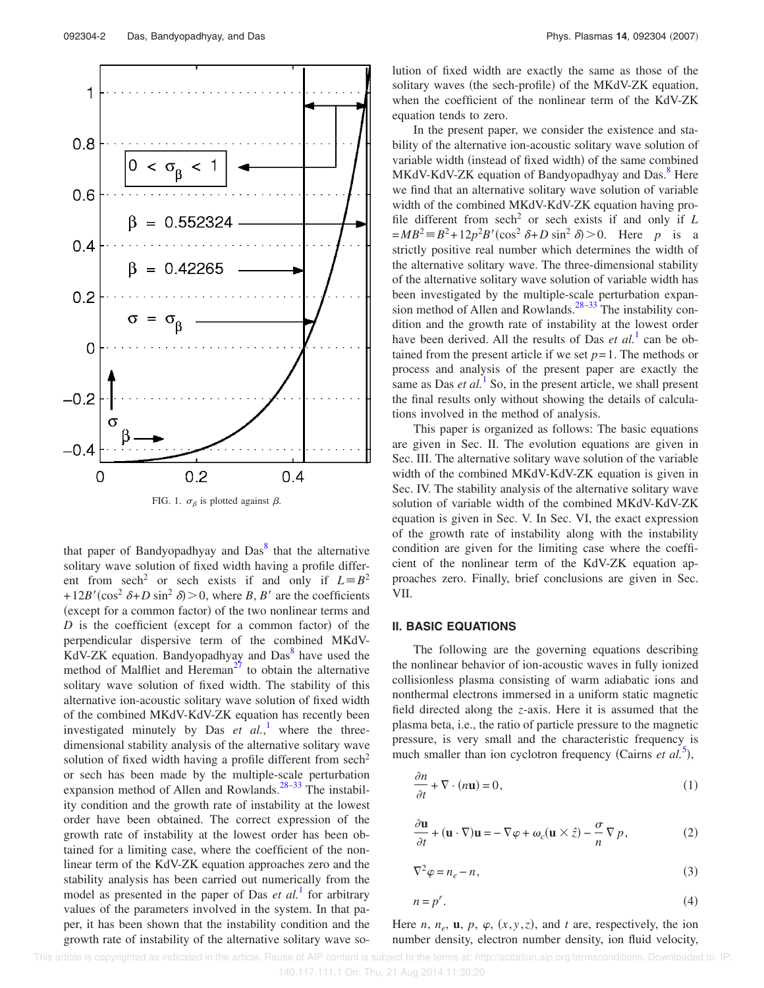$0.2$ 0  $0.4$ FIG. 1.  $\sigma_{\beta}$  is plotted against  $\beta$ . that paper of Bandyopadhyay and Das<sup>8</sup> that the alternative solitary wave solution of fixed width having a profile different from sech<sup>2</sup> or sech exists if and only if  $L = B^2$  $+12B'(\cos^2 \delta + D \sin^2 \delta) > 0$ , where *B*, *B'* are the coefficients (except for a common factor) of the two nonlinear terms and  $D$  is the coefficient (except for a common factor) of the perpendicular dispersive term of the combined MKdV- $\overline{KdV}$ -ZK equation. Bandyopadhyay and Das $\overline{8}$  have used the method of Malfliet and Hereman<sup>27</sup> to obtain the alternative solitary wave solution of fixed width. The stability of this alternative ion-acoustic solitary wave solution of fixed width of the combined MKdV-KdV-ZK equation has recently been investigated minutely by Das  $et$   $al$ ,<sup>1</sup> where the threedimensional stability analysis of the alternative solitary wave solution of fixed width having a profile different from  $sech<sup>2</sup>$ or sech has been made by the multiple-scale perturbation expansion method of Allen and Rowlands.<sup>28–33</sup> The instabil-

ity condition and the growth rate of instability at the lowest order have been obtained. The correct expression of the growth rate of instability at the lowest order has been obtained for a limiting case, where the coefficient of the nonlinear term of the KdV-ZK equation approaches zero and the stability analysis has been carried out numerically from the model as presented in the paper of Das *et al.*<sup>1</sup> for arbitrary values of the parameters involved in the system. In that paper, it has been shown that the instability condition and the growth rate of instability of the alternative solitary wave solution of fixed width are exactly the same as those of the solitary waves (the sech-profile) of the MKdV-ZK equation, when the coefficient of the nonlinear term of the KdV-ZK equation tends to zero.

In the present paper, we consider the existence and stability of the alternative ion-acoustic solitary wave solution of variable width (instead of fixed width) of the same combined MKdV-KdV-ZK equation of Bandyopadhyay and Das.<sup>8</sup> Here we find that an alternative solitary wave solution of variable width of the combined MKdV-KdV-ZK equation having profile different from  $sech<sup>2</sup>$  or sech exists if and only if  $L$  $=MB^2 = B^2 + 12p^2B'(\cos^2 \delta + D \sin^2 \delta) > 0$ . Here *p* is a strictly positive real number which determines the width of the alternative solitary wave. The three-dimensional stability of the alternative solitary wave solution of variable width has been investigated by the multiple-scale perturbation expansion method of Allen and Rowlands.<sup>28–33</sup> The instability condition and the growth rate of instability at the lowest order have been derived. All the results of Das *et al.*<sup>1</sup> can be obtained from the present article if we set  $p=1$ . The methods or process and analysis of the present paper are exactly the same as Das  $et al.<sup>1</sup>$  So, in the present article, we shall present the final results only without showing the details of calculations involved in the method of analysis.

This paper is organized as follows: The basic equations are given in Sec. II. The evolution equations are given in Sec. III. The alternative solitary wave solution of the variable width of the combined MKdV-KdV-ZK equation is given in Sec. IV. The stability analysis of the alternative solitary wave solution of variable width of the combined MKdV-KdV-ZK equation is given in Sec. V. In Sec. VI, the exact expression of the growth rate of instability along with the instability condition are given for the limiting case where the coefficient of the nonlinear term of the KdV-ZK equation approaches zero. Finally, brief conclusions are given in Sec. VII.

# **II. BASIC EQUATIONS**

The following are the governing equations describing the nonlinear behavior of ion-acoustic waves in fully ionized collisionless plasma consisting of warm adiabatic ions and nonthermal electrons immersed in a uniform static magnetic field directed along the *z*-axis. Here it is assumed that the plasma beta, i.e., the ratio of particle pressure to the magnetic pressure, is very small and the characteristic frequency is much smaller than ion cyclotron frequency (Cairns  $et al.<sup>5</sup>$ ),

$$
\frac{\partial n}{\partial t} + \nabla \cdot (n\mathbf{u}) = 0,\tag{1}
$$

$$
\frac{\partial \mathbf{u}}{\partial t} + (\mathbf{u} \cdot \nabla) \mathbf{u} = -\nabla \varphi + \omega_c (\mathbf{u} \times \hat{z}) - \frac{\sigma}{n} \nabla p, \qquad (2)
$$

$$
\nabla^2 \varphi = n_e - n,\tag{3}
$$

$$
n = p^r. \tag{4}
$$

Here *n*,  $n_e$ , **u**, *p*,  $\varphi$ ,  $(x, y, z)$ , and *t* are, respectively, the ion number density, electron number density, ion fluid velocity,

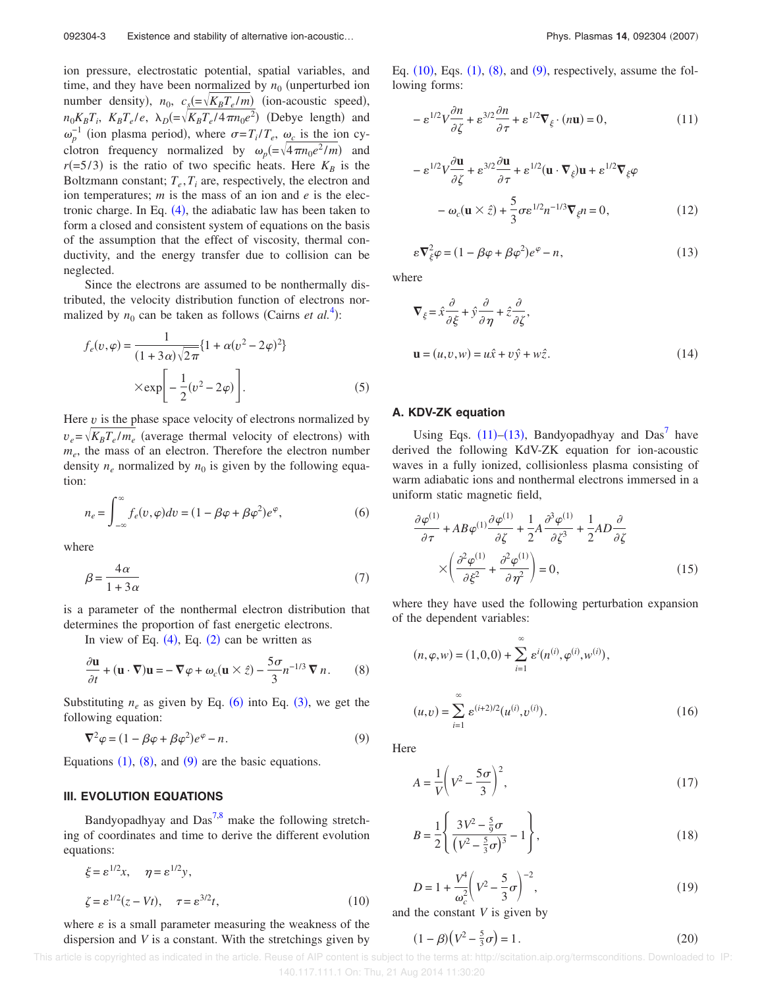ion pressure, electrostatic potential, spatial variables, and time, and they have been normalized by  $n_0$  (unperturbed ion number density),  $n_0$ ,  $c_s = \sqrt{K_B T_e/m}$  (ion-acoustic speed),  $n_0 K_B T_i$ ,  $K_B T_e/e$ ,  $\lambda_D (=\sqrt{K_B T_e/4 \pi n_0 e^2})$  (Debye length) and  $\omega_p^{-1}$  (ion plasma period), where  $\sigma = T_i/T_e$ ,  $\omega_c$  is the ion cyclotron frequency normalized by  $\omega_p = \sqrt{4 \pi n_0 e^2/m}$  and  $r(=5/3)$  is the ratio of two specific heats. Here  $K_B$  is the Boltzmann constant;  $T_e$ ,  $T_i$  are, respectively, the electron and ion temperatures; *m* is the mass of an ion and *e* is the electronic charge. In Eq.  $(4)$ , the adiabatic law has been taken to form a closed and consistent system of equations on the basis of the assumption that the effect of viscosity, thermal conductivity, and the energy transfer due to collision can be neglected.

Since the electrons are assumed to be nonthermally distributed, the velocity distribution function of electrons normalized by  $n_0$  can be taken as follows (Cairns *et al.*<sup>4</sup>):

$$
f_e(v, \varphi) = \frac{1}{(1 + 3\alpha)\sqrt{2\pi}} \{1 + \alpha(v^2 - 2\varphi)^2\}
$$
  
×
$$
\exp\left[-\frac{1}{2}(v^2 - 2\varphi)\right].
$$
 (5)

Here *v* is the phase space velocity of electrons normalized by  $v_e = \sqrt{K_B T_e / m_e}$  (average thermal velocity of electrons) with *me* , the mass of an electron. Therefore the electron number density  $n_e$  normalized by  $n_0$  is given by the following equation:

$$
n_e = \int_{-\infty}^{\infty} f_e(v, \varphi) dv = (1 - \beta \varphi + \beta \varphi^2) e^{\varphi}, \tag{6}
$$

where

$$
\beta = \frac{4\alpha}{1 + 3\alpha} \tag{7}
$$

is a parameter of the nonthermal electron distribution that determines the proportion of fast energetic electrons.

In view of Eq.  $(4)$ , Eq.  $(2)$  can be written as

$$
\frac{\partial \mathbf{u}}{\partial t} + (\mathbf{u} \cdot \nabla) \mathbf{u} = -\nabla \varphi + \omega_c (\mathbf{u} \times \hat{z}) - \frac{5\sigma}{3} n^{-1/3} \nabla n.
$$
 (8)

Substituting  $n_e$  as given by Eq. (6) into Eq. (3), we get the following equation:

$$
\nabla^2 \varphi = (1 - \beta \varphi + \beta \varphi^2) e^{\varphi} - n.
$$
\n(9)

Equations  $(1)$ ,  $(8)$ , and  $(9)$  are the basic equations.

## **III. EVOLUTION EQUATIONS**

Bandyopadhyay and  $Das<sup>7,8</sup>$  make the following stretching of coordinates and time to derive the different evolution equations:

$$
\xi = \varepsilon^{1/2} x, \quad \eta = \varepsilon^{1/2} y,
$$
  

$$
\zeta = \varepsilon^{1/2} (z - Vt), \quad \tau = \varepsilon^{3/2} t,
$$
 (10)

where  $\varepsilon$  is a small parameter measuring the weakness of the dispersion and *V* is a constant. With the stretchings given by

Eq.  $(10)$ , Eqs.  $(1)$ ,  $(8)$ , and  $(9)$ , respectively, assume the following forms:

$$
-\varepsilon^{1/2}V\frac{\partial n}{\partial \zeta} + \varepsilon^{3/2}\frac{\partial n}{\partial \tau} + \varepsilon^{1/2}\nabla_{\xi} \cdot (n\mathbf{u}) = 0,\tag{11}
$$

$$
- \varepsilon^{1/2} V \frac{\partial \mathbf{u}}{\partial \zeta} + \varepsilon^{3/2} \frac{\partial \mathbf{u}}{\partial \tau} + \varepsilon^{1/2} (\mathbf{u} \cdot \nabla_{\xi}) \mathbf{u} + \varepsilon^{1/2} \nabla_{\xi} \varphi
$$

$$
- \omega_c (\mathbf{u} \times \hat{z}) + \frac{5}{3} \sigma \varepsilon^{1/2} n^{-1/3} \nabla_{\xi} n = 0, \qquad (12)
$$

$$
\varepsilon \nabla_{\xi}^{2} \varphi = (1 - \beta \varphi + \beta \varphi^{2}) e^{\varphi} - n, \qquad (13)
$$

where

$$
\nabla_{\xi} = \hat{x} \frac{\partial}{\partial \xi} + \hat{y} \frac{\partial}{\partial \eta} + \hat{z} \frac{\partial}{\partial \zeta},
$$
  

$$
\mathbf{u} = (u, v, w) = u\hat{x} + v\hat{y} + w\hat{z}.
$$
 (14)

#### **A. KDV-ZK equation**

Using Eqs.  $(11)$ – $(13)$ , Bandyopadhyay and Das<sup>7</sup> have derived the following KdV-ZK equation for ion-acoustic waves in a fully ionized, collisionless plasma consisting of warm adiabatic ions and nonthermal electrons immersed in a uniform static magnetic field,

$$
\frac{\partial \varphi^{(1)}}{\partial \tau} + AB \varphi^{(1)} \frac{\partial \varphi^{(1)}}{\partial \zeta} + \frac{1}{2} A \frac{\partial^3 \varphi^{(1)}}{\partial \zeta^3} + \frac{1}{2} AD \frac{\partial}{\partial \zeta} \times \left( \frac{\partial^2 \varphi^{(1)}}{\partial \xi^2} + \frac{\partial^2 \varphi^{(1)}}{\partial \eta^2} \right) = 0,
$$
\n(15)

where they have used the following perturbation expansion of the dependent variables:

$$
(n, \varphi, w) = (1, 0, 0) + \sum_{i=1}^{\infty} \varepsilon^{i}(n^{(i)}, \varphi^{(i)}, w^{(i)}),
$$
  

$$
(u, v) = \sum_{i=1}^{\infty} \varepsilon^{(i+2)/2}(u^{(i)}, v^{(i)}).
$$
 (16)

**Here** 

$$
A = \frac{1}{V} \left( V^2 - \frac{5\sigma}{3} \right)^2,\tag{17}
$$

$$
B = \frac{1}{2} \left\{ \frac{3V^2 - \frac{5}{9}\sigma}{\left(V^2 - \frac{5}{3}\sigma\right)^3} - 1 \right\},\tag{18}
$$

$$
D = 1 + \frac{V^4}{\omega_c^2} \left(V^2 - \frac{5}{3}\sigma\right)^{-2},
$$
\n(19)

and the constant *V* is given by

$$
(1 - \beta)\left(V^2 - \frac{5}{3}\sigma\right) = 1.
$$
 (20)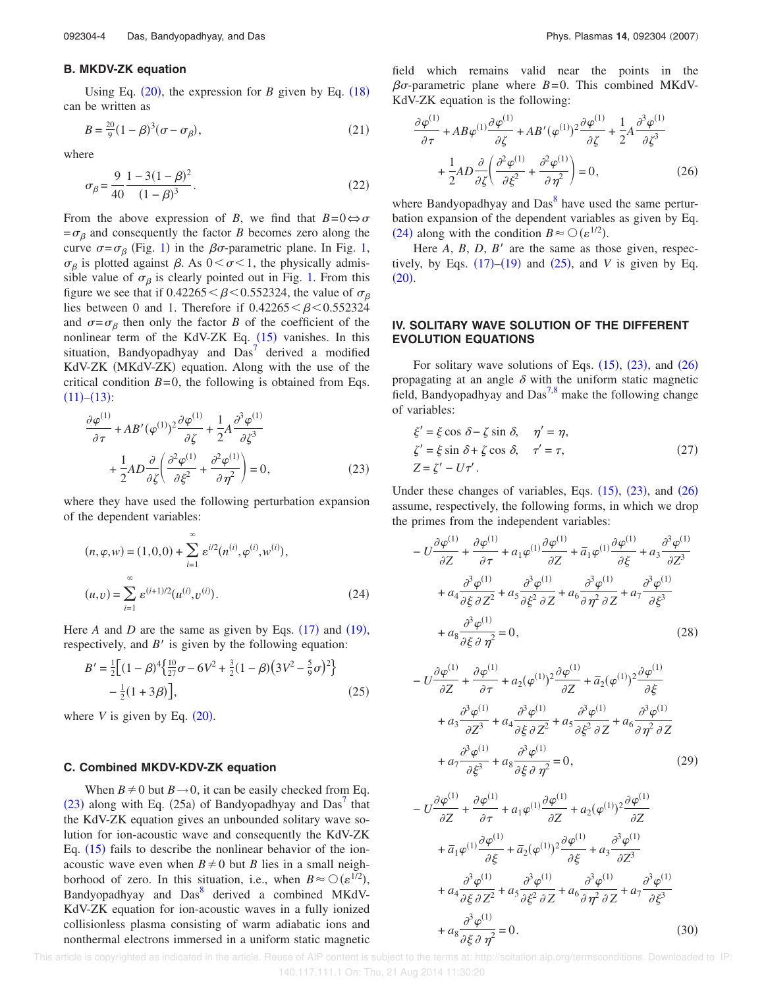#### **B. MKDV-ZK equation**

Using Eq.  $(20)$ , the expression for *B* given by Eq.  $(18)$ can be written as

$$
B = \frac{20}{9}(1 - \beta)^3(\sigma - \sigma_\beta),\tag{21}
$$

where

$$
\sigma_{\beta} = \frac{9}{40} \frac{1 - 3(1 - \beta)^2}{(1 - \beta)^3}.
$$
\n(22)

From the above expression of *B*, we find that  $B=0 \Leftrightarrow \sigma$  $=\sigma_{\beta}$  and consequently the factor *B* becomes zero along the curve  $\sigma = \sigma_{\beta}$  (Fig. 1) in the  $\beta \sigma$ -parametric plane. In Fig. 1,  $\sigma_{\beta}$  is plotted against  $\beta$ . As  $0 < \sigma < 1$ , the physically admissible value of  $\sigma_{\beta}$  is clearly pointed out in Fig. 1. From this figure we see that if  $0.42265 < \beta < 0.552324$ , the value of  $\sigma_{\beta}$ lies between 0 and 1. Therefore if  $0.42265 < \beta < 0.552324$ and  $\sigma = \sigma_\beta$  then only the factor *B* of the coefficient of the nonlinear term of the KdV-ZK Eq.  $(15)$  vanishes. In this situation, Bandyopadhyay and  $Das<sup>7</sup>$  derived a modified KdV-ZK (MKdV-ZK) equation. Along with the use of the critical condition  $B=0$ , the following is obtained from Eqs.  $(11)–(13):$ 

$$
\frac{\partial \varphi^{(1)}}{\partial \tau} + AB' (\varphi^{(1)})^2 \frac{\partial \varphi^{(1)}}{\partial \zeta} + \frac{1}{2} A \frac{\partial^3 \varphi^{(1)}}{\partial \zeta^3} + \frac{1}{2} AD \frac{\partial}{\partial \zeta} \left( \frac{\partial^2 \varphi^{(1)}}{\partial \zeta^2} + \frac{\partial^2 \varphi^{(1)}}{\partial \eta^2} \right) = 0,
$$
(23)

where they have used the following perturbation expansion of the dependent variables:

$$
(n, \varphi, w) = (1, 0, 0) + \sum_{i=1}^{\infty} \varepsilon^{i/2} (n^{(i)}, \varphi^{(i)}, w^{(i)}),
$$
  

$$
(u, v) = \sum_{i=1}^{\infty} \varepsilon^{(i+1)/2} (u^{(i)}, v^{(i)}).
$$
 (24)

Here *A* and *D* are the same as given by Eqs.  $(17)$  and  $(19)$ , respectively, and  $B'$  is given by the following equation:

$$
B' = \frac{1}{2} \Big[ (1 - \beta)^4 \Big\{ \frac{10}{27} \sigma - 6V^2 + \frac{3}{2} (1 - \beta) \Big( 3V^2 - \frac{5}{9} \sigma \Big)^2 \Big\} - \frac{1}{2} (1 + 3\beta) \Big],
$$
 (25)

where  $V$  is given by Eq.  $(20)$ .

#### **C. Combined MKDV-KDV-ZK equation**

When  $B \neq 0$  but  $B \rightarrow 0$ , it can be easily checked from Eq.  $(23)$  along with Eq.  $(25a)$  of Bandyopadhyay and Das<sup>7</sup> that the KdV-ZK equation gives an unbounded solitary wave solution for ion-acoustic wave and consequently the KdV-ZK Eq.  $(15)$  fails to describe the nonlinear behavior of the ionacoustic wave even when  $B \neq 0$  but *B* lies in a small neighborhood of zero. In this situation, i.e., when  $B \approx \mathcal{O}(\varepsilon^{1/2})$ , Bandyopadhyay and Das<sup>8</sup> derived a combined MKdV-KdV-ZK equation for ion-acoustic waves in a fully ionized collisionless plasma consisting of warm adiabatic ions and nonthermal electrons immersed in a uniform static magnetic field which remains valid near the points in the  $\beta\sigma$ -parametric plane where  $B=0$ . This combined MKdV-KdV-ZK equation is the following:

$$
\frac{\partial \varphi^{(1)}}{\partial \tau} + AB \varphi^{(1)} \frac{\partial \varphi^{(1)}}{\partial \zeta} + AB' (\varphi^{(1)})^2 \frac{\partial \varphi^{(1)}}{\partial \zeta} + \frac{1}{2} A \frac{\partial^3 \varphi^{(1)}}{\partial \zeta^3} + \frac{1}{2} AD \frac{\partial}{\partial \zeta} \left( \frac{\partial^2 \varphi^{(1)}}{\partial \zeta^2} + \frac{\partial^2 \varphi^{(1)}}{\partial \eta^2} \right) = 0, \qquad (26)
$$

where Bandyopadhyay and Das<sup>8</sup> have used the same perturbation expansion of the dependent variables as given by Eq. (24) along with the condition  $B \approx \mathcal{O}(\varepsilon^{1/2})$ .

Here  $A$ ,  $B$ ,  $D$ ,  $B'$  are the same as those given, respectively, by Eqs.  $(17)$ – $(19)$  and  $(25)$ , and *V* is given by Eq.  $(20).$ 

## **IV. SOLITARY WAVE SOLUTION OF THE DIFFERENT EVOLUTION EQUATIONS**

For solitary wave solutions of Eqs.  $(15)$ ,  $(23)$ , and  $(26)$ propagating at an angle  $\delta$  with the uniform static magnetic field, Bandyopadhyay and  $Das<sup>7,8</sup>$  make the following change of variables:

$$
\xi' = \xi \cos \delta - \zeta \sin \delta, \quad \eta' = \eta,
$$
  

$$
\zeta' = \xi \sin \delta + \zeta \cos \delta, \quad \tau' = \tau,
$$
  

$$
Z = \zeta' - U\tau'.
$$
 (27)

Under these changes of variables, Eqs.  $(15)$ ,  $(23)$ , and  $(26)$ assume, respectively, the following forms, in which we drop the primes from the independent variables:

$$
- U \frac{\partial \varphi^{(1)}}{\partial Z} + \frac{\partial \varphi^{(1)}}{\partial \tau} + a_1 \varphi^{(1)} \frac{\partial \varphi^{(1)}}{\partial Z} + \overline{a}_1 \varphi^{(1)} \frac{\partial \varphi^{(1)}}{\partial \xi} + a_3 \frac{\partial^3 \varphi^{(1)}}{\partial Z^3} + a_4 \frac{\partial^3 \varphi^{(1)}}{\partial \xi \partial Z^2} + a_5 \frac{\partial^3 \varphi^{(1)}}{\partial \xi^2 \partial Z} + a_6 \frac{\partial^3 \varphi^{(1)}}{\partial \eta^2 \partial Z} + a_7 \frac{\partial^3 \varphi^{(1)}}{\partial \xi^3} + a_8 \frac{\partial^3 \varphi^{(1)}}{\partial \xi \partial \eta^2} = 0,
$$
(28)

$$
- U \frac{\partial \varphi^{(1)}}{\partial Z} + \frac{\partial \varphi^{(1)}}{\partial \tau} + a_2 (\varphi^{(1)})^2 \frac{\partial \varphi^{(1)}}{\partial Z} + \overline{a}_2 (\varphi^{(1)})^2 \frac{\partial \varphi^{(1)}}{\partial \xi} + a_3 \frac{\partial^3 \varphi^{(1)}}{\partial Z^3} + a_4 \frac{\partial^3 \varphi^{(1)}}{\partial \xi \partial Z^2} + a_5 \frac{\partial^3 \varphi^{(1)}}{\partial \xi^2 \partial Z} + a_6 \frac{\partial^3 \varphi^{(1)}}{\partial \eta^2 \partial Z} + a_7 \frac{\partial^3 \varphi^{(1)}}{\partial \xi^3} + a_8 \frac{\partial^3 \varphi^{(1)}}{\partial \xi \partial \eta^2} = 0,
$$
 (29)

$$
-U\frac{\partial\varphi^{(1)}}{\partial Z} + \frac{\partial\varphi^{(1)}}{\partial \tau} + a_1\varphi^{(1)}\frac{\partial\varphi^{(1)}}{\partial Z} + a_2(\varphi^{(1)})^2\frac{\partial\varphi^{(1)}}{\partial Z} + \overline{a}_1\varphi^{(1)}\frac{\partial\varphi^{(1)}}{\partial \xi} + \overline{a}_2(\varphi^{(1)})^2\frac{\partial\varphi^{(1)}}{\partial \xi} + a_3\frac{\partial^3\varphi^{(1)}}{\partial Z^3} + a_4\frac{\partial^3\varphi^{(1)}}{\partial \xi \partial Z^2} + a_5\frac{\partial^3\varphi^{(1)}}{\partial \xi^2 \partial Z} + a_6\frac{\partial^3\varphi^{(1)}}{\partial \eta^2 \partial Z} + a_7\frac{\partial^3\varphi^{(1)}}{\partial \xi^3} + a_8\frac{\partial^3\varphi^{(1)}}{\partial \xi \partial \eta^2} = 0.
$$
 (30)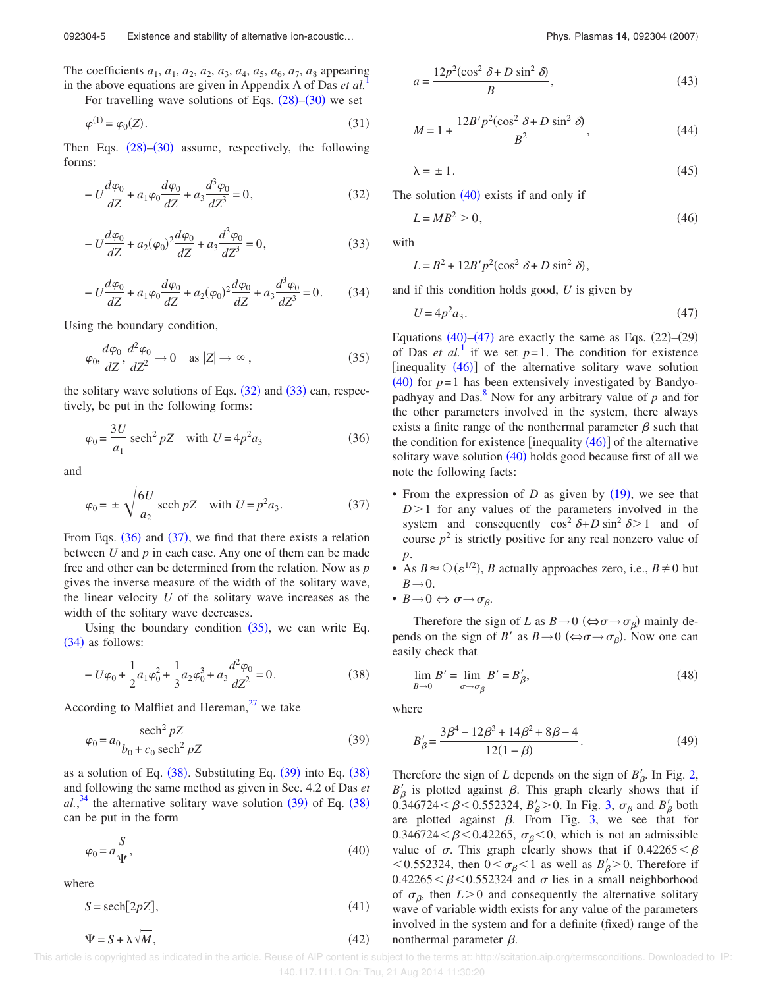092304-5 Existence and stability of alternative ion-acoustic... **Phys. Plasmas 14, 092304 (2007)** Phys. Plasmas 14, 092304 (2007)

The coefficients  $a_1$ ,  $\bar{a}_1$ ,  $a_2$ ,  $\bar{a}_2$ ,  $a_3$ ,  $a_4$ ,  $a_5$ ,  $a_6$ ,  $a_7$ ,  $a_8$  appearing in the above equations are given in Appendix A of Das *et al.* 

For travelling wave solutions of Eqs.  $(28)$ – $(30)$  we set

$$
\varphi^{(1)} = \varphi_0(Z). \tag{31}
$$

Then Eqs.  $(28)$ – $(30)$  assume, respectively, the following forms:

$$
-U\frac{d\varphi_0}{dZ} + a_1 \varphi_0 \frac{d\varphi_0}{dZ} + a_3 \frac{d^3 \varphi_0}{dZ^3} = 0,
$$
\n(32)

$$
-U\frac{d\varphi_0}{dZ} + a_2(\varphi_0)^2 \frac{d\varphi_0}{dZ} + a_3 \frac{d^3 \varphi_0}{dZ^3} = 0,
$$
\n(33)

$$
-U\frac{d\varphi_0}{dZ} + a_1 \varphi_0 \frac{d\varphi_0}{dZ} + a_2(\varphi_0)^2 \frac{d\varphi_0}{dZ} + a_3 \frac{d^3 \varphi_0}{dZ^3} = 0.
$$
 (34)

Using the boundary condition,

$$
\varphi_0, \frac{d\varphi_0}{dZ}, \frac{d^2\varphi_0}{dZ^2} \to 0 \quad \text{as } |Z| \to \infty ,
$$
\n(35)

the solitary wave solutions of Eqs.  $(32)$  and  $(33)$  can, respectively, be put in the following forms:

$$
\varphi_0 = \frac{3U}{a_1} \operatorname{sech}^2 pZ \quad \text{with } U = 4p^2 a_3 \tag{36}
$$

and

$$
\varphi_0 = \pm \sqrt{\frac{6U}{a_2}} \operatorname{sech} pZ \quad \text{with } U = p^2 a_3. \tag{37}
$$

From Eqs.  $(36)$  and  $(37)$ , we find that there exists a relation between *U* and *p* in each case. Any one of them can be made free and other can be determined from the relation. Now as *p* gives the inverse measure of the width of the solitary wave, the linear velocity *U* of the solitary wave increases as the width of the solitary wave decreases.

Using the boundary condition  $(35)$ , we can write Eq.  $(34)$  as follows:

$$
-U\varphi_0 + \frac{1}{2}a_1\varphi_0^2 + \frac{1}{3}a_2\varphi_0^3 + a_3\frac{d^2\varphi_0}{dZ^2} = 0.
$$
 (38)

According to Malfliet and Hereman, $27$  we take

$$
\varphi_0 = a_0 \frac{\mathrm{sech}^2 pZ}{b_0 + c_0 \mathrm{sech}^2 pZ}
$$
\n(39)

as a solution of Eq.  $(38)$ . Substituting Eq.  $(39)$  into Eq.  $(38)$ and following the same method as given in Sec. 4.2 of Das *et*  $al.$ <sup>34</sup> the alternative solitary wave solution  $(39)$  of Eq.  $(38)$ can be put in the form

$$
\varphi_0 = a \frac{S}{\Psi},\tag{40}
$$

where

$$
S = \text{sech}[2pZ],\tag{41}
$$

$$
\Psi = S + \lambda \sqrt{M},\tag{42}
$$

$$
a = \frac{12p^2(\cos^2 \delta + D \sin^2 \delta)}{B},
$$
\n(43)

$$
M = 1 + \frac{12B'p^2(\cos^2 \delta + D\sin^2 \delta)}{B^2},
$$
 (44)

$$
\lambda = \pm 1. \tag{45}
$$

The solution  $(40)$  exists if and only if

$$
L = MB^2 > 0,\t\t(46)
$$

with

$$
L = B^2 + 12B'p^2(\cos^2 \delta + D\sin^2 \delta),
$$

and if this condition holds good, *U* is given by

$$
U = 4p^2 a_3. \tag{47}
$$

Equations  $(40)$ – $(47)$  are exactly the same as Eqs.  $(22)$ – $(29)$ of Das *et al.*<sup>1</sup> if we set  $p=1$ . The condition for existence [inequality  $(46)$ ] of the alternative solitary wave solution  $(40)$  for  $p=1$  has been extensively investigated by Bandyopadhyay and Das. $\frac{8}{3}$  Now for any arbitrary value of  $p$  and for the other parameters involved in the system, there always exists a finite range of the nonthermal parameter  $\beta$  such that the condition for existence [inequality  $(46)$ ] of the alternative solitary wave solution  $(40)$  holds good because first of all we note the following facts:

- From the expression of  $D$  as given by  $(19)$ , we see that  $D>1$  for any values of the parameters involved in the system and consequently  $\cos^2 \delta + D \sin^2 \delta > 1$  and of course  $p^2$  is strictly positive for any real nonzero value of *p*.
- As  $B \approx \mathcal{O}(\varepsilon^{1/2})$ , *B* actually approaches zero, i.e.,  $B \neq 0$  but  $B\rightarrow 0$ .
- $B \rightarrow 0 \Leftrightarrow \sigma \rightarrow \sigma_{\beta}$ .

Therefore the sign of *L* as  $B \rightarrow 0 \ (\Leftrightarrow \sigma \rightarrow \sigma_{\beta})$  mainly depends on the sign of *B'* as  $B \rightarrow 0 \ (\Leftrightarrow \sigma \rightarrow \sigma_{\beta})$ . Now one can easily check that

$$
\lim_{B \to 0} B' = \lim_{\sigma \to \sigma_{\beta}} B' = B'_{\beta},\tag{48}
$$

where

$$
B'_{\beta} = \frac{3\beta^4 - 12\beta^3 + 14\beta^2 + 8\beta - 4}{12(1 - \beta)}.
$$
 (49)

Therefore the sign of *L* depends on the sign of  $B'_\beta$ . In Fig. 2,  $B'_{\beta}$  is plotted against  $\beta$ . This graph clearly shows that if  $0.346724 < \beta < 0.552324$ ,  $B'_{\beta} > 0$ . In Fig. 3,  $\sigma_{\beta}$  and  $B'_{\beta}$  both are plotted against  $\beta$ . From Fig. 3, we see that for 0.346724 <  $\beta$  < 0.42265,  $\sigma_{\beta}$  < 0, which is not an admissible value of  $\sigma$ . This graph clearly shows that if  $0.42265 < \beta$ <0.552324, then  $0 < \sigma_{\beta} < 1$  as well as  $B'_{\beta} > 0$ . Therefore if  $0.42265 < \beta < 0.552324$  and  $\sigma$  lies in a small neighborhood of  $\sigma_{\beta}$ , then  $L > 0$  and consequently the alternative solitary wave of variable width exists for any value of the parameters involved in the system and for a definite (fixed) range of the nonthermal parameter  $\beta$ .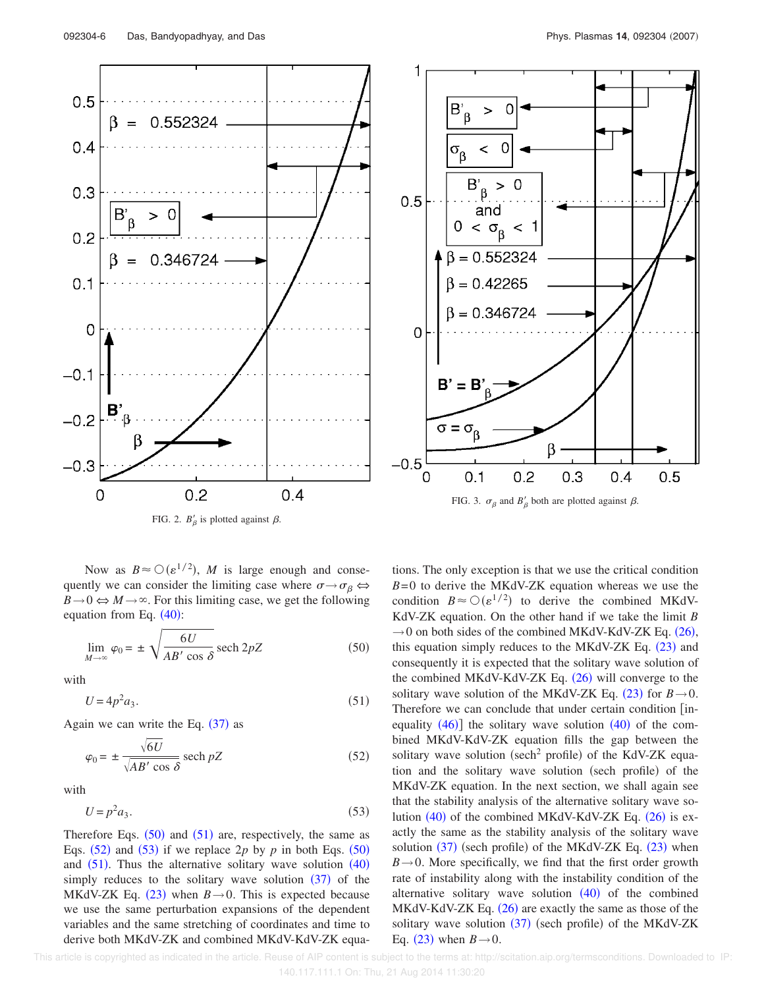

FIG. 2.  $B'_{\beta}$  is plotted against  $\beta$ .

Now as  $B \approx O(\varepsilon^{1/2})$ , *M* is large enough and consequently we can consider the limiting case where  $\sigma \rightarrow \sigma_\beta \Leftrightarrow$  $B\rightarrow 0 \Leftrightarrow M \rightarrow \infty$ . For this limiting case, we get the following equation from Eq.  $(40)$ :

$$
\lim_{M \to \infty} \varphi_0 = \pm \sqrt{\frac{6U}{AB' \cos \delta}} \operatorname{sech} 2pZ \tag{50}
$$

with

$$
U = 4p^2 a_3. \tag{51}
$$

Again we can write the Eq.  $(37)$  as

$$
\varphi_0 = \pm \frac{\sqrt{6U}}{\sqrt{AB' \cos \delta}} \operatorname{sech} pZ \tag{52}
$$

with

$$
U = p^2 a_3. \tag{53}
$$

Therefore Eqs.  $(50)$  and  $(51)$  are, respectively, the same as Eqs.  $(52)$  and  $(53)$  if we replace  $2p$  by  $p$  in both Eqs.  $(50)$ and  $(51)$ . Thus the alternative solitary wave solution  $(40)$ simply reduces to the solitary wave solution  $(37)$  of the MKdV-ZK Eq.  $(23)$  when  $B \rightarrow 0$ . This is expected because we use the same perturbation expansions of the dependent variables and the same stretching of coordinates and time to derive both MKdV-ZK and combined MKdV-KdV-ZK equa-



tions. The only exception is that we use the critical condition  $B=0$  to derive the MKdV-ZK equation whereas we use the condition  $B \approx O(\varepsilon^{1/2})$  to derive the combined MKdV-KdV-ZK equation. On the other hand if we take the limit *B*  $\rightarrow$  0 on both sides of the combined MKdV-KdV-ZK Eq. (26), this equation simply reduces to the MKdV-ZK Eq.  $(23)$  and consequently it is expected that the solitary wave solution of the combined MKdV-KdV-ZK Eq.  $(26)$  will converge to the solitary wave solution of the MKdV-ZK Eq.  $(23)$  for  $B \rightarrow 0$ . Therefore we can conclude that under certain condition [inequality  $(46)$ ] the solitary wave solution  $(40)$  of the combined MKdV-KdV-ZK equation fills the gap between the solitary wave solution (sech<sup>2</sup> profile) of the KdV-ZK equation and the solitary wave solution (sech profile) of the MKdV-ZK equation. In the next section, we shall again see that the stability analysis of the alternative solitary wave solution  $(40)$  of the combined MKdV-KdV-ZK Eq.  $(26)$  is exactly the same as the stability analysis of the solitary wave solution (37) (sech profile) of the MKdV-ZK Eq. (23) when  $B \rightarrow 0$ . More specifically, we find that the first order growth rate of instability along with the instability condition of the alternative solitary wave solution  $(40)$  of the combined  $MKdV-KdV-ZK$  Eq.  $(26)$  are exactly the same as those of the solitary wave solution (37) (sech profile) of the MKdV-ZK Eq.  $(23)$  when  $B\rightarrow 0$ .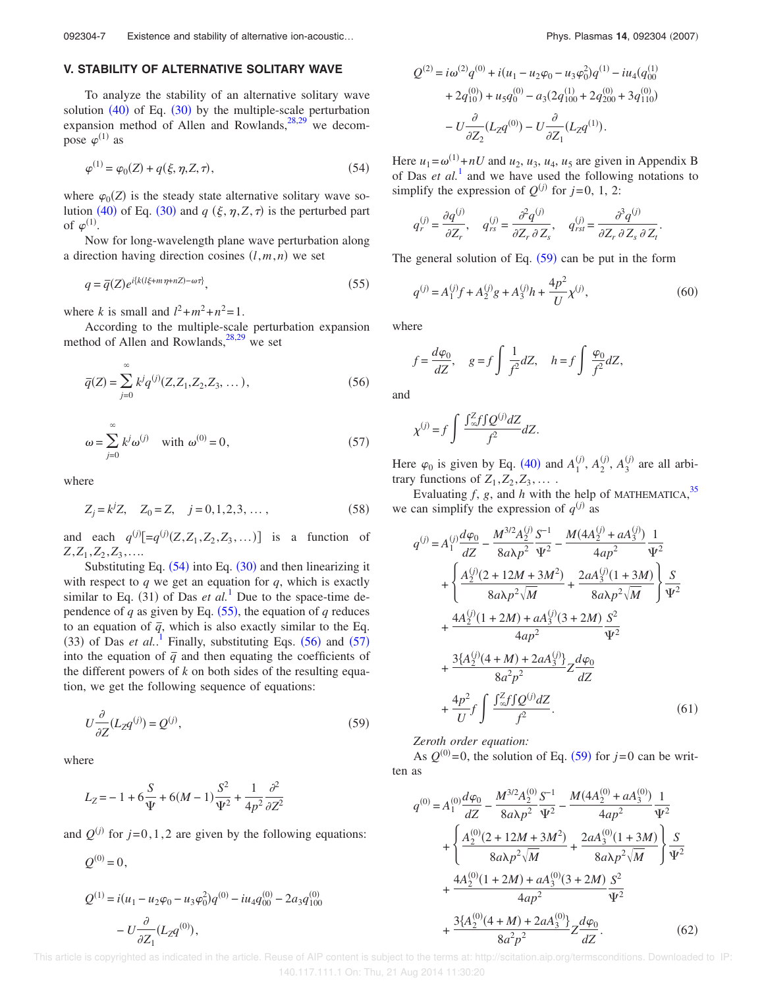## **V. STABILITY OF ALTERNATIVE SOLITARY WAVE**

To analyze the stability of an alternative solitary wave solution  $(40)$  of Eq.  $(30)$  by the multiple-scale perturbation expansion method of Allen and Rowlands, $28,29$  we decompose  $\varphi^{(1)}$  as

$$
\varphi^{(1)} = \varphi_0(Z) + q(\xi, \eta, Z, \tau), \tag{54}
$$

where  $\varphi_0(Z)$  is the steady state alternative solitary wave solution (40) of Eq. (30) and  $q$  ( $\xi$ ,  $\eta$ ,  $Z$ ,  $\tau$ ) is the perturbed part of  $\varphi^{(1)}$ .

Now for long-wavelength plane wave perturbation along a direction having direction cosines  $(l, m, n)$  we set

$$
q = \overline{q}(Z)e^{i\{k(l\xi + m\eta + nZ) - \omega\tau\}},\tag{55}
$$

where *k* is small and  $l^2 + m^2 + n^2 = 1$ .

According to the multiple-scale perturbation expansion method of Allen and Rowlands,  $28,29$  we set

$$
\overline{q}(Z) = \sum_{j=0}^{\infty} k^j q^{(j)}(Z, Z_1, Z_2, Z_3, \dots),
$$
\n(56)

$$
\omega = \sum_{j=0}^{\infty} k^j \omega^{(j)} \quad \text{with } \omega^{(0)} = 0,
$$
 (57)

where

$$
Z_j = k^j Z, \quad Z_0 = Z, \quad j = 0, 1, 2, 3, \dots,
$$
\n(58)

and each  $q^{(j)}[-q^{(j)}(Z, Z_1, Z_2, Z_3, ...)$  is a function of  $Z_1, Z_1, Z_2, Z_3, \ldots$ 

Substituting Eq.  $(54)$  into Eq.  $(30)$  and then linearizing it with respect to *q* we get an equation for *q*, which is exactly similar to Eq.  $(31)$  of Das *et al.*<sup>1</sup> Due to the space-time dependence of  $q$  as given by Eq.  $(55)$ , the equation of  $q$  reduces to an equation of  $\bar{q}$ , which is also exactly similar to the Eq.  $(33)$  of Das *et al.*<sup>1</sup> Finally, substituting Eqs.  $(56)$  and  $(57)$ into the equation of  $\bar{q}$  and then equating the coefficients of the different powers of *k* on both sides of the resulting equation, we get the following sequence of equations:

$$
U\frac{\partial}{\partial Z}(L_Z q^{(j)}) = Q^{(j)},\tag{59}
$$

where

$$
L_Z = -1 + 6\frac{S}{\Psi} + 6(M - 1)\frac{S^2}{\Psi^2} + \frac{1}{4p^2}\frac{\partial^2}{\partial Z^2}
$$

and  $Q^{(j)}$  for  $j=0,1,2$  are given by the following equations:

$$
Q^{(0)} = 0,
$$
  
\n
$$
Q^{(1)} = i(u_1 - u_2\varphi_0 - u_3\varphi_0^2)q^{(0)} - iu_4q_{00}^{(0)} - 2a_3q_{100}^{(0)}
$$
  
\n
$$
- U\frac{\partial}{\partial Z_1}(L_Zq^{(0)}),
$$

$$
Q^{(2)} = i\omega^{(2)}q^{(0)} + i(u_1 - u_2\varphi_0 - u_3\varphi_0^2)q^{(1)} - iu_4(q_{00}^{(1)}
$$
  
+ 2q\_{10}^{(0)} + u\_5q\_0^{(0)} - a\_3(2q\_{100}^{(1)} + 2q\_{200}^{(0)} + 3q\_{110}^{(0)})  
- U\frac{\partial}{\partial Z\_2}(L\_Zq^{(0)}) - U\frac{\partial}{\partial Z\_1}(L\_Zq^{(1)}).

Here  $u_1 = \omega^{(1)} + nU$  and  $u_2$ ,  $u_3$ ,  $u_4$ ,  $u_5$  are given in Appendix B of Das  $et$   $al$ <sup>1</sup> and we have used the following notations to simplify the expression of  $Q^{(j)}$  for  $j=0, 1, 2$ :

$$
q_r^{(j)} = \frac{\partial q^{(j)}}{\partial Z_r}, \quad q_{rs}^{(j)} = \frac{\partial^2 q^{(j)}}{\partial Z_r \partial Z_s}, \quad q_{rst}^{(j)} = \frac{\partial^3 q^{(j)}}{\partial Z_r \partial Z_s \partial Z_t}.
$$

The general solution of Eq.  $(59)$  can be put in the form

$$
q^{(j)} = A_1^{(j)}f + A_2^{(j)}g + A_3^{(j)}h + \frac{4p^2}{U}\chi^{(j)},
$$
\n(60)

where

$$
f = \frac{d\varphi_0}{dZ}
$$
,  $g = f \int \frac{1}{f^2} dZ$ ,  $h = f \int \frac{\varphi_0}{f^2} dZ$ ,

and

$$
\chi^{(j)} = f \int \frac{\int_{\infty}^{Z} f \int Q^{(j)} dZ}{f^2} dZ.
$$

Here  $\varphi_0$  is given by Eq. (40) and  $A_1^{(j)}$ ,  $A_2^{(j)}$ ,  $A_3^{(j)}$  are all arbitrary functions of  $Z_1$ ,  $Z_2$ ,  $Z_3$ , ....

Evaluating  $f$ ,  $g$ , and  $h$  with the help of MATHEMATICA,  $35$ we can simplify the expression of  $q^{(j)}$  as

$$
q^{(j)} = A_1^{(j)} \frac{d\varphi_0}{dz} - \frac{M^{3/2} A_2^{(j)}}{8a\lambda p^2} \frac{S^{-1}}{\Psi^2} - \frac{M(4A_2^{(j)} + aA_3^{(j)})}{4ap^2} \frac{1}{\Psi^2} + \left\{ \frac{A_2^{(j)}(2 + 12M + 3M^2)}{8a\lambda p^2 \sqrt{M}} + \frac{2aA_3^{(j)}(1 + 3M)}{8a\lambda p^2 \sqrt{M}} \right\} \frac{S}{\Psi^2} + \frac{4A_2^{(j)}(1 + 2M) + aA_3^{(j)}(3 + 2M)}{4ap^2} \frac{S^2}{\Psi^2} + \frac{3\{A_2^{(j)}(4 + M) + 2aA_3^{(j)}\}}{8a^2p^2} Z \frac{d\varphi_0}{dZ} + \frac{4p^2}{U} f \int \frac{J_{\infty}^2 f Q^{(j)} dZ}{f^2}.
$$
 (61)

*Zeroth order equation:*

As  $Q^{(0)} = 0$ , the solution of Eq. (59) for  $j=0$  can be written as

$$
q^{(0)} = A_1^{(0)} \frac{d\varphi_0}{dZ} - \frac{M^{3/2}A_2^{(0)}}{8a\lambda p^2} \frac{S^{-1}}{\Psi^2} - \frac{M(4A_2^{(0)} + aA_3^{(0)})}{4ap^2} \frac{1}{\Psi^2} + \left\{ \frac{A_2^{(0)}(2 + 12M + 3M^2)}{8a\lambda p^2 \sqrt{M}} + \frac{2aA_3^{(0)}(1 + 3M)}{8a\lambda p^2 \sqrt{M}} \right\} \frac{S}{\Psi^2} + \frac{4A_2^{(0)}(1 + 2M) + aA_3^{(0)}(3 + 2M)}{4ap^2} \frac{S^2}{\Psi^2} + \frac{3\{A_2^{(0)}(4 + M) + 2aA_3^{(0)}\}}{8a^2p^2} Z \frac{d\varphi_0}{dZ}.
$$
 (62)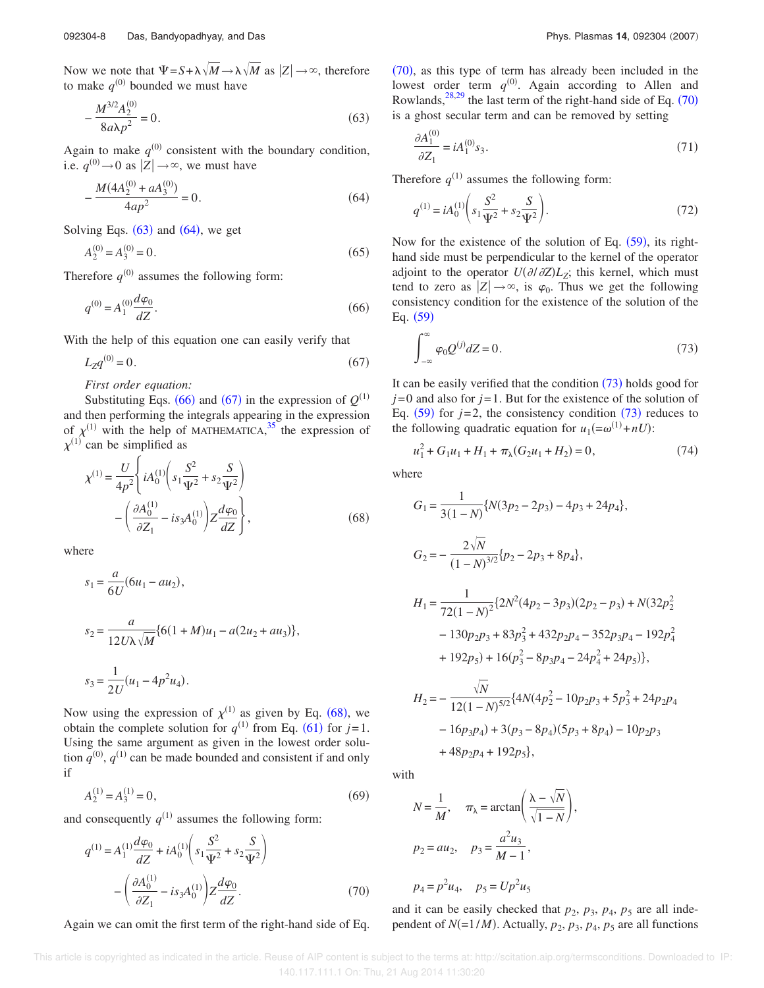Now we note that  $\Psi = S + \lambda \sqrt{M} \rightarrow \lambda \sqrt{M}$  as  $|Z| \rightarrow \infty$ , therefore to make  $q^{(0)}$  bounded we must have

$$
-\frac{M^{3/2}A_2^{(0)}}{8a\lambda p^2} = 0.
$$
\n(63)

Again to make  $q^{(0)}$  consistent with the boundary condition, i.e.  $q^{(0)} \rightarrow 0$  as  $|Z| \rightarrow \infty$ , we must have

$$
-\frac{M(4A_2^{(0)} + aA_3^{(0)})}{4ap^2} = 0.
$$
\n(64)

Solving Eqs.  $(63)$  and  $(64)$ , we get

$$
A_2^{(0)} = A_3^{(0)} = 0.
$$
\n(65)

Therefore  $q^{(0)}$  assumes the following form:

$$
q^{(0)} = A_1^{(0)} \frac{d\varphi_0}{dZ}.
$$
\n(66)

With the help of this equation one can easily verify that

$$
L_Z q^{(0)} = 0.\t\t(67)
$$

*First order equation:*

Substituting Eqs. (66) and (67) in the expression of  $Q^{(1)}$ and then performing the integrals appearing in the expression of  $\chi^{(1)}$  with the help of MATHEMATICA, <sup>35</sup> the expression of  $\chi^{(1)}$  can be simplified as

$$
\chi^{(1)} = \frac{U}{4p^2} \left\{ iA_0^{(1)} \left( s_1 \frac{S^2}{\Psi^2} + s_2 \frac{S}{\Psi^2} \right) - \left( \frac{\partial A_0^{(1)}}{\partial Z_1} - is_3 A_0^{(1)} \right) Z \frac{d\varphi_0}{dZ} \right\},
$$
\n(68)

where

$$
s_1 = \frac{a}{6U}(6u_1 - au_2),
$$
  
\n
$$
s_2 = \frac{a}{12U\lambda\sqrt{M}}\{6(1+M)u_1 - a(2u_2 + au_3)\},
$$
  
\n
$$
s_3 = \frac{1}{2U}(u_1 - 4p^2u_4).
$$

Now using the expression of  $\chi^{(1)}$  as given by Eq. (68), we obtain the complete solution for  $q^{(1)}$  from Eq. (61) for  $j=1$ . Using the same argument as given in the lowest order solution  $q^{(0)}$ ,  $q^{(1)}$  can be made bounded and consistent if and only if

$$
A_2^{(1)} = A_3^{(1)} = 0,\t\t(69)
$$

and consequently  $q^{(1)}$  assumes the following form:

$$
q^{(1)} = A_1^{(1)} \frac{d\varphi_0}{dz} + iA_0^{(1)} \left( s_1 \frac{S^2}{\Psi^2} + s_2 \frac{S}{\Psi^2} \right)
$$

$$
- \left( \frac{\partial A_0^{(1)}}{\partial Z_1} - i s_3 A_0^{(1)} \right) Z \frac{d\varphi_0}{dz}.
$$
(70)

Again we can omit the first term of the right-hand side of Eq.

 $(70)$ , as this type of term has already been included in the lowest order term  $q^{(0)}$ . Again according to Allen and Rowlands,  $^{28,29}$  the last term of the right-hand side of Eq. (70) is a ghost secular term and can be removed by setting

$$
\frac{\partial A_1^{(0)}}{\partial Z_1} = i A_1^{(0)} s_3. \tag{71}
$$

Therefore  $q^{(1)}$  assumes the following form:

$$
q^{(1)} = iA_0^{(1)} \left( s_1 \frac{S^2}{\Psi^2} + s_2 \frac{S}{\Psi^2} \right).
$$
 (72)

Now for the existence of the solution of Eq.  $(59)$ , its righthand side must be perpendicular to the kernel of the operator adjoint to the operator  $U(\partial/\partial Z) L_z$ ; this kernel, which must tend to zero as  $|Z| \rightarrow \infty$ , is  $\varphi_0$ . Thus we get the following consistency condition for the existence of the solution of the Eq.  $(59)$ 

$$
\int_{-\infty}^{\infty} \varphi_0 Q^{(j)} dZ = 0.
$$
 (73)

It can be easily verified that the condition  $(73)$  holds good for *j*=0 and also for *j*=1. But for the existence of the solution of Eq.  $(59)$  for  $j=2$ , the consistency condition  $(73)$  reduces to the following quadratic equation for  $u_1(=\omega^{(1)} + nU)$ :

$$
u_1^2 + G_1 u_1 + H_1 + \pi_\lambda (G_2 u_1 + H_2) = 0,\tag{74}
$$

where

$$
G_1 = \frac{1}{3(1-N)} \{ N(3p_2 - 2p_3) - 4p_3 + 24p_4 \},
$$
  
\n
$$
G_2 = -\frac{2\sqrt{N}}{(1-N)^{3/2}} \{ p_2 - 2p_3 + 8p_4 \},
$$
  
\n
$$
H_1 = \frac{1}{72(1-N)^2} \{ 2N^2(4p_2 - 3p_3)(2p_2 - p_3) + N(32p_2^2 - 130p_2p_3 + 83p_3^2 + 432p_2p_4 - 352p_3p_4 - 192p_4^2 + 192p_5) + 16(p_3^2 - 8p_3p_4 - 24p_4^2 + 24p_5) \},
$$
  
\n
$$
H_2 = -\frac{\sqrt{N}}{12(1-N)^{5/2}} \{ 4N(4p_2^2 - 10p_2p_3 + 5p_3^2 + 24p_2p_4 + 24p_3p_5) + 24p_2p_4p_5 \}
$$

 $-16p_3p_4$ ) + 3 $(p_3 - 8p_4)(5p_3 + 8p_4)$  –  $10p_2p_3$ 

with

$$
N = \frac{1}{M}, \quad \pi_{\lambda} = \arctan\left(\frac{\lambda - \sqrt{N}}{\sqrt{1 - N}}\right),
$$
  

$$
p_2 = au_2, \quad p_3 = \frac{a^2 u_3}{M - 1},
$$
  

$$
p_4 = p^2 u_4, \quad p_5 = Up^2 u_5
$$

 $+ 48p_2p_4 + 192p_5$ 

and it can be easily checked that  $p_2$ ,  $p_3$ ,  $p_4$ ,  $p_5$  are all independent of  $N(=1/M)$ . Actually,  $p_2$ ,  $p_3$ ,  $p_4$ ,  $p_5$  are all functions

This article is copyrighted as indicated in the article. Reuse of AIP content is subject to the terms at: http://scitation.aip.org/termsconditions. Downloaded to IP: 140.117.111.1 On: Thu, 21 Aug 2014 11:30:20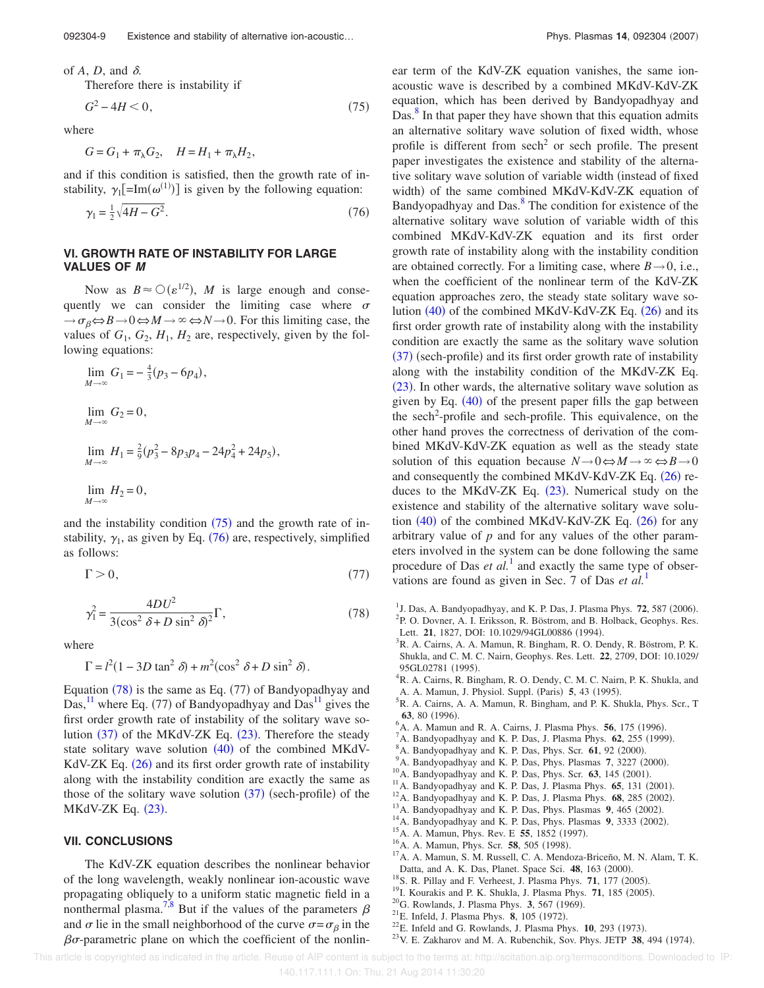of  $A$ ,  $D$ , and  $\delta$ .

Therefore there is instability if

$$
G^2 - 4H < 0,\tag{75}
$$

,

where

$$
G = G_1 + \pi_\lambda G_2, \quad H = H_1 + \pi_\lambda H_2
$$

and if this condition is satisfied, then the growth rate of instability,  $\gamma_1$ [=Im( $\omega^{(1)}$ )] is given by the following equation:

$$
\gamma_1 = \frac{1}{2}\sqrt{4H - G^2}.
$$
\n(76)

## **VI. GROWTH RATE OF INSTABILITY FOR LARGE VALUES OF M**

Now as  $B \approx O(\varepsilon^{1/2})$ , *M* is large enough and consequently we can consider the limiting case where  $\sigma$  $\rightarrow \sigma_{\beta} \Longleftrightarrow B \rightarrow 0 \Longleftrightarrow M \rightarrow \infty \Longleftrightarrow N \rightarrow 0$ . For this limiting case, the values of  $G_1$ ,  $G_2$ ,  $H_1$ ,  $H_2$  are, respectively, given by the following equations:

$$
\lim_{M \to \infty} G_1 = -\frac{4}{3}(p_3 - 6p_4),
$$
  
\n
$$
\lim_{M \to \infty} G_2 = 0,
$$
  
\n
$$
\lim_{M \to \infty} H_1 = \frac{2}{9}(p_3^2 - 8p_3p_4 - 24p_4^2 + 24p_5),
$$
  
\n
$$
\lim_{M \to \infty} H_2 = 0,
$$

4

and the instability condition  $(75)$  and the growth rate of instability,  $\gamma_1$ , as given by Eq. (76) are, respectively, simplified as follows:

$$
\Gamma > 0,\tag{77}
$$

$$
\gamma_1^2 = \frac{4DU^2}{3(\cos^2 \delta + D \sin^2 \delta)^2} \Gamma,\tag{78}
$$

where

$$
\Gamma = l^2 (1 - 3D \tan^2 \delta) + m^2 (\cos^2 \delta + D \sin^2 \delta).
$$

Equation  $(78)$  is the same as Eq.  $(77)$  of Bandyopadhyay and Das,  $^{11}$  where Eq. (77) of Bandyopadhyay and Das<sup>11</sup> gives the first order growth rate of instability of the solitary wave solution (37) of the MKdV-ZK Eq. (23). Therefore the steady state solitary wave solution  $(40)$  of the combined MKdV-KdV-ZK Eq.  $(26)$  and its first order growth rate of instability along with the instability condition are exactly the same as those of the solitary wave solution  $(37)$  (sech-profile) of the MKdV-ZK Eq. (23).

#### **VII. CONCLUSIONS**

The KdV-ZK equation describes the nonlinear behavior of the long wavelength, weakly nonlinear ion-acoustic wave propagating obliquely to a uniform static magnetic field in a nonthermal plasma.<sup>7,8</sup> But if the values of the parameters  $\beta$ and  $\sigma$  lie in the small neighborhood of the curve  $\sigma = \sigma_\beta$  in the  $\beta\sigma$ -parametric plane on which the coefficient of the nonlinear term of the KdV-ZK equation vanishes, the same ionacoustic wave is described by a combined MKdV-KdV-ZK equation, which has been derived by Bandyopadhyay and Das.<sup>8</sup> In that paper they have shown that this equation admits an alternative solitary wave solution of fixed width, whose profile is different from  $\mathrm{sech}^2$  or sech profile. The present paper investigates the existence and stability of the alternative solitary wave solution of variable width (instead of fixed width) of the same combined MKdV-KdV-ZK equation of Bandyopadhyay and Das.<sup>8</sup> The condition for existence of the alternative solitary wave solution of variable width of this combined MKdV-KdV-ZK equation and its first order growth rate of instability along with the instability condition are obtained correctly. For a limiting case, where  $B \rightarrow 0$ , i.e., when the coefficient of the nonlinear term of the KdV-ZK equation approaches zero, the steady state solitary wave solution  $(40)$  of the combined MKdV-KdV-ZK Eq.  $(26)$  and its first order growth rate of instability along with the instability condition are exactly the same as the solitary wave solution (37) (sech-profile) and its first order growth rate of instability along with the instability condition of the MKdV-ZK Eq.  $(23)$ . In other wards, the alternative solitary wave solution as given by Eq.  $(40)$  of the present paper fills the gap between the sech<sup>2</sup>-profile and sech-profile. This equivalence, on the other hand proves the correctness of derivation of the combined MKdV-KdV-ZK equation as well as the steady state solution of this equation because  $N \rightarrow 0 \Leftrightarrow M \rightarrow \infty \Leftrightarrow B \rightarrow 0$ and consequently the combined MKdV-KdV-ZK Eq. (26) reduces to the MKdV-ZK Eq.  $(23)$ . Numerical study on the existence and stability of the alternative solitary wave solution  $(40)$  of the combined MKdV-KdV-ZK Eq.  $(26)$  for any arbitrary value of *p* and for any values of the other parameters involved in the system can be done following the same procedure of Das *et al.*<sup>1</sup> and exactly the same type of observations are found as given in Sec. 7 of Das *et al.*<sup>1</sup>

- <sup>1</sup> J. Das, A. Bandyopadhyay, and K. P. Das, J. Plasma Phys.  $72$ , 587 (2006). <sup>2</sup>P. O. Dovner, A. I. Eriksson, R. Böstrom, and B. Holback, Geophys. Res. Lett. 21, 1827, DOI: 10.1029/94GL00886 (1994).
- <sup>3</sup>R. A. Cairns, A. A. Mamun, R. Bingham, R. O. Dendy, R. Böstrom, P. K. Shukla, and C. M. C. Nairn, Geophys. Res. Lett. **22**, 2709, DOI: 10.1029/ 95GL02781 (1995).
- <sup>4</sup>R. A. Cairns, R. Bingham, R. O. Dendy, C. M. C. Nairn, P. K. Shukla, and A. A. Mamun, J. Physiol. Suppl. (Paris) 5, 43 (1995).
- <sup>5</sup>R. A. Cairns, A. A. Mamun, R. Bingham, and P. K. Shukla, Phys. Scr., T 63, 80 (1996).
- <sup>6</sup> A. A. Mamun and R. A. Cairns, J. Plasma Phys. **56**, 175 (1996).
- ${}^{7}$ A. Bandyopadhyay and K. P. Das, J. Plasma Phys.  $62$ , 255 (1999).
- <sup>8</sup>A. Bandyopadhyay and K. P. Das, Phys. Scr. 61, 92 (2000).
- <sup>9</sup> A. Bandyopadhyay and K. P. Das, Phys. Plasmas 7, 3227 (2000).
- $^{10}$ A. Bandyopadhyay and K. P. Das, Phys. Scr. 63, 145 (2001).
- $11$ A. Bandyopadhyay and K. P. Das, J. Plasma Phys.  $65$ ,  $131$  (2001).
- $12$ A. Bandyopadhyay and K. P. Das, J. Plasma Phys.  $68$ , 285 (2002).
- <sup>13</sup> A. Bandyopadhyay and K. P. Das, Phys. Plasmas 9, 465 (2002).
- <sup>14</sup> A. Bandyopadhyay and K. P. Das, Phys. Plasmas 9, 3333 (2002).
- <sup>15</sup> A. A. Mamun, Phys. Rev. E **55**, 1852 (1997).
- <sup>16</sup>A. A. Mamun, Phys. Scr. 58, 505 (1998).
- <sup>17</sup>A. A. Mamun, S. M. Russell, C. A. Mendoza-Briceño, M. N. Alam, T. K. Datta, and A. K. Das, Planet. Space Sci. 48, 163 (2000).
- <sup>18</sup> S. R. Pillay and F. Verheest, J. Plasma Phys. **71**, 177 (2005).
- <sup>19</sup>I. Kourakis and P. K. Shukla, J. Plasma Phys. **71**, 185 (2005).
- $^{20}$ G. Rowlands, J. Plasma Phys. 3, 567 (1969).
- <sup>21</sup>E. Infeld, J. Plasma Phys. **8**, 105 (1972).
- $22$ E. Infeld and G. Rowlands, J. Plasma Phys.  $10$ , 293 (1973).
- $^{23}$ V. E. Zakharov and M. A. Rubenchik, Sov. Phys. JETP 38, 494 (1974).

This article is copyrighted as indicated in the article. Reuse of AIP content is subject to the terms at: http://scitation.aip.org/termsconditions. Downloaded to IP: